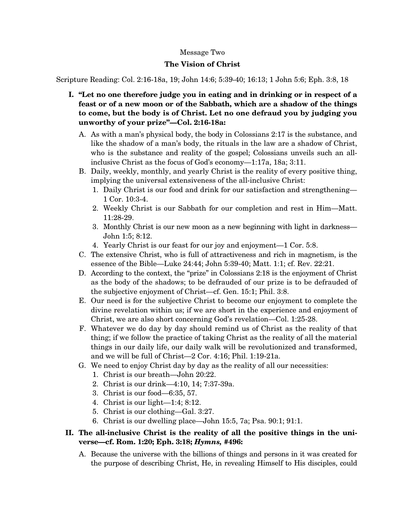## Message Two

## **The Vision of Christ**

Scripture Reading: Col. 2:16-18a, 19; John 14:6; 5:39-40; 16:13; 1 John 5:6; Eph. 3:8, 18

- **I. "Let no one therefore judge you in eating and in drinking or in respect of a feast or of a new moon or of the Sabbath, which are a shadow of the things to come, but the body is of Christ. Let no one defraud you by judging you unworthy of your prize"—Col. 2:16-18a:** 
	- A. As with a man's physical body, the body in Colossians 2:17 is the substance, and like the shadow of a man's body, the rituals in the law are a shadow of Christ, who is the substance and reality of the gospel; Colossians unveils such an allinclusive Christ as the focus of God's economy—1:17a, 18a; 3:11.
	- B. Daily, weekly, monthly, and yearly Christ is the reality of every positive thing, implying the universal extensiveness of the all-inclusive Christ:
		- 1. Daily Christ is our food and drink for our satisfaction and strengthening— 1 Cor. 10:3-4.
		- 2. Weekly Christ is our Sabbath for our completion and rest in Him—Matt. 11:28-29.
		- 3. Monthly Christ is our new moon as a new beginning with light in darkness— John 1:5; 8:12.
		- 4. Yearly Christ is our feast for our joy and enjoyment—1 Cor. 5:8.
	- C. The extensive Christ, who is full of attractiveness and rich in magnetism, is the essence of the Bible—Luke 24:44; John 5:39-40; Matt. 1:1; cf. Rev. 22:21.
	- D. According to the context, the "prize" in Colossians 2:18 is the enjoyment of Christ as the body of the shadows; to be defrauded of our prize is to be defrauded of the subjective enjoyment of Christ—cf. Gen. 15:1; Phil. 3:8.
	- E. Our need is for the subjective Christ to become our enjoyment to complete the divine revelation within us; if we are short in the experience and enjoyment of Christ, we are also short concerning God's revelation—Col. 1:25-28.
	- F. Whatever we do day by day should remind us of Christ as the reality of that thing; if we follow the practice of taking Christ as the reality of all the material things in our daily life, our daily walk will be revolutionized and transformed, and we will be full of Christ—2 Cor. 4:16; Phil. 1:19-21a.
	- G. We need to enjoy Christ day by day as the reality of all our necessities:
		- 1. Christ is our breath—John 20:22.
		- 2. Christ is our drink—4:10, 14; 7:37-39a.
		- 3. Christ is our food—6:35, 57.
		- 4. Christ is our light—1:4; 8:12.
		- 5. Christ is our clothing—Gal. 3:27.
		- 6. Christ is our dwelling place—John 15:5, 7a; Psa. 90:1; 91:1.

## **II. The all-inclusive Christ is the reality of all the positive things in the universe—cf. Rom. 1:20; Eph. 3:18;** *Hymns,* **#496:**

A. Because the universe with the billions of things and persons in it was created for the purpose of describing Christ, He, in revealing Himself to His disciples, could